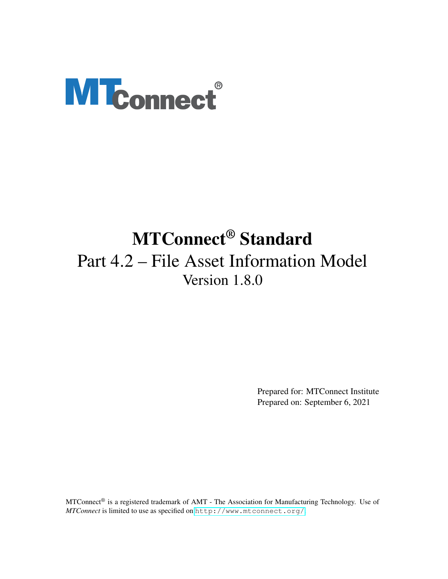# **MTconnect®**

# MTConnect® Standard Part 4.2 – File Asset Information Model Version 1.8.0

Prepared for: MTConnect Institute Prepared on: September 6, 2021

MTConnect® is a registered trademark of AMT - The Association for Manufacturing Technology. Use of *MTConnect* is limited to use as specified on <http://www.mtconnect.org/>.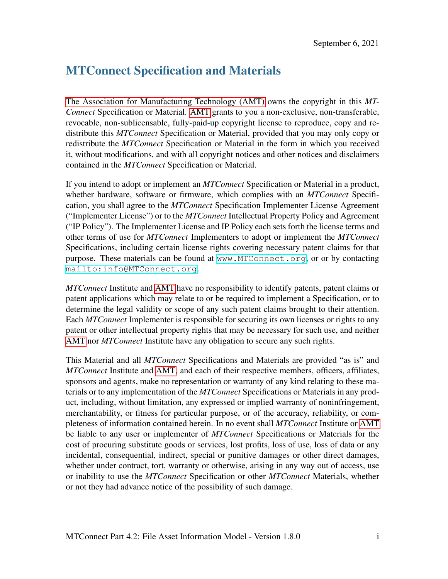# MTConnect Specification and Materials

[The Association for Manufacturing Technology \(AMT\)](#page-11-0) owns the copyright in this *MT-Connect* Specification or Material. [AMT](#page-11-0) grants to you a non-exclusive, non-transferable, revocable, non-sublicensable, fully-paid-up copyright license to reproduce, copy and redistribute this *MTConnect* Specification or Material, provided that you may only copy or redistribute the *MTConnect* Specification or Material in the form in which you received it, without modifications, and with all copyright notices and other notices and disclaimers contained in the *MTConnect* Specification or Material.

If you intend to adopt or implement an *MTConnect* Specification or Material in a product, whether hardware, software or firmware, which complies with an *MTConnect* Specification, you shall agree to the *MTConnect* Specification Implementer License Agreement ("Implementer License") or to the *MTConnect* Intellectual Property Policy and Agreement ("IP Policy"). The Implementer License and IP Policy each sets forth the license terms and other terms of use for *MTConnect* Implementers to adopt or implement the *MTConnect* Specifications, including certain license rights covering necessary patent claims for that purpose. These materials can be found at <www.MTConnect.org>, or or by contacting <mailto:info@MTConnect.org>.

*MTConnect* Institute and [AMT](#page-11-0) have no responsibility to identify patents, patent claims or patent applications which may relate to or be required to implement a Specification, or to determine the legal validity or scope of any such patent claims brought to their attention. Each *MTConnect* Implementer is responsible for securing its own licenses or rights to any patent or other intellectual property rights that may be necessary for such use, and neither [AMT](#page-11-0) nor *MTConnect* Institute have any obligation to secure any such rights.

This Material and all *MTConnect* Specifications and Materials are provided "as is" and *MTConnect* Institute and [AMT,](#page-11-0) and each of their respective members, officers, affiliates, sponsors and agents, make no representation or warranty of any kind relating to these materials or to any implementation of the *MTConnect* Specifications or Materials in any product, including, without limitation, any expressed or implied warranty of noninfringement, merchantability, or fitness for particular purpose, or of the accuracy, reliability, or completeness of information contained herein. In no event shall *MTConnect* Institute or [AMT](#page-11-0) be liable to any user or implementer of *MTConnect* Specifications or Materials for the cost of procuring substitute goods or services, lost profits, loss of use, loss of data or any incidental, consequential, indirect, special or punitive damages or other direct damages, whether under contract, tort, warranty or otherwise, arising in any way out of access, use or inability to use the *MTConnect* Specification or other *MTConnect* Materials, whether or not they had advance notice of the possibility of such damage.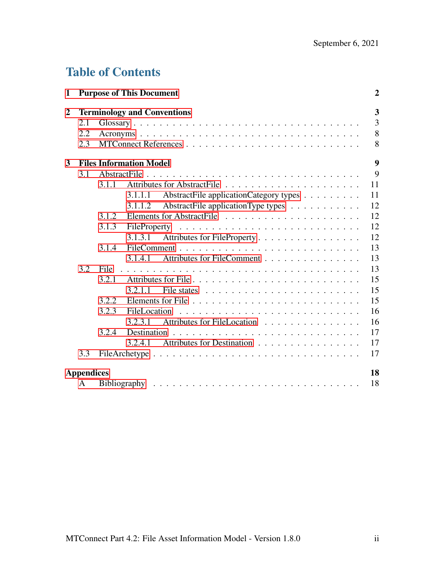# Table of Contents

| $\mathbf{1}$     |                   |       | <b>Purpose of This Document</b>                   | $\boldsymbol{2}$ |
|------------------|-------------------|-------|---------------------------------------------------|------------------|
| $\boldsymbol{2}$ |                   |       | <b>Terminology and Conventions</b>                | 3                |
|                  | 2.1               |       |                                                   | 3                |
|                  | 2.2               |       |                                                   | 8                |
|                  | 2.3               |       |                                                   | 8                |
| 3                |                   |       | <b>Files Information Model</b>                    | 9                |
|                  | 3.1               |       |                                                   | 9                |
|                  |                   | 3.1.1 |                                                   | 11               |
|                  |                   |       | AbstractFile applicationCategory types<br>3.1.1.1 | 11               |
|                  |                   |       | AbstractFile applicationType types<br>3.1.1.2     | 12               |
|                  |                   | 3.1.2 |                                                   | 12               |
|                  |                   | 3.1.3 |                                                   | 12               |
|                  |                   |       | Attributes for FileProperty<br>3.1.3.1            | 12               |
|                  |                   | 3.1.4 |                                                   | 13               |
|                  |                   |       | Attributes for FileComment<br>3.1.4.1             | 13               |
|                  | 3.2               | File  |                                                   | 13               |
|                  |                   | 3.2.1 |                                                   | 15               |
|                  |                   |       | 3.2.1.1                                           | 15               |
|                  |                   | 3.2.2 |                                                   | 15               |
|                  |                   | 3.2.3 | FileLocation                                      | 16               |
|                  |                   |       | Attributes for FileLocation<br>3.2.3.1            | 16               |
|                  |                   | 3.2.4 |                                                   | 17               |
|                  |                   |       | Attributes for Destination<br>3.2.4.1             | 17               |
|                  | 3.3               |       |                                                   | 17               |
|                  | <b>Appendices</b> |       |                                                   | 18               |
|                  | A                 |       |                                                   | 18               |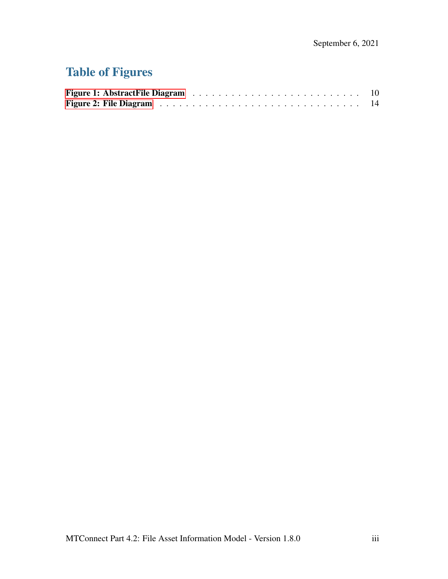# Table of Figures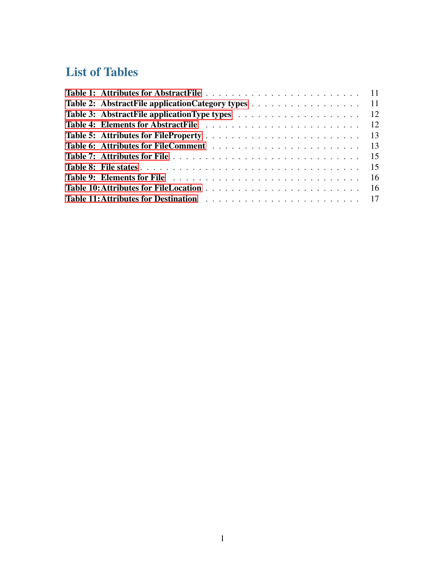# List of Tables

<span id="page-4-0"></span>

| Table 2: AbstractFile applicationCategory types 11 |  |
|----------------------------------------------------|--|
|                                                    |  |
|                                                    |  |
|                                                    |  |
|                                                    |  |
|                                                    |  |
|                                                    |  |
|                                                    |  |
|                                                    |  |
|                                                    |  |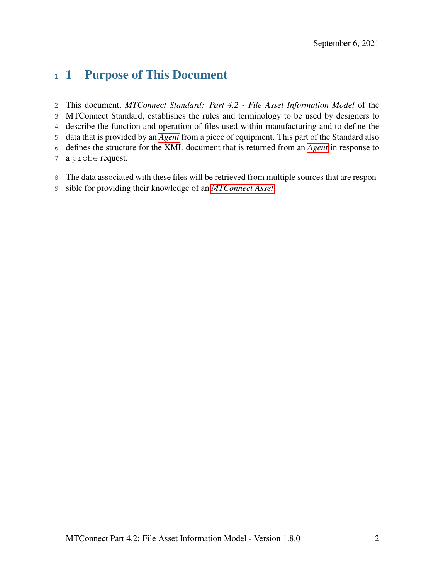# 1 Purpose of This Document

 This document, *MTConnect Standard: Part 4.2 - File Asset Information Model* of the MTConnect Standard, establishes the rules and terminology to be used by designers to describe the function and operation of files used within manufacturing and to define the data that is provided by an *[Agent](#page-6-1)* from a piece of equipment. This part of the Standard also defines the structure for the XML document that is returned from an *[Agent](#page-6-1)* in response to a probe request.

- The data associated with these files will be retrieved from multiple sources that are respon-
- <span id="page-5-0"></span>sible for providing their knowledge of an *[MTConnect Asset](#page-8-0)*.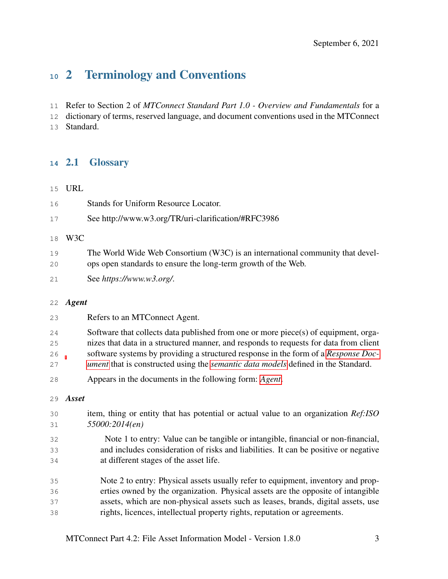# 2 Terminology and Conventions

Refer to Section 2 of *MTConnect Standard Part 1.0 - Overview and Fundamentals* for a

dictionary of terms, reserved language, and document conventions used in the MTConnect

<span id="page-6-0"></span>Standard.

# 2.1 Glossary

## <span id="page-6-3"></span>URL

<span id="page-6-4"></span>

| 16<br>17 | Stands for Uniform Resource Locator.<br>See http://www.w3.org/TR/uri-clarification/#RFC3986                                                    |
|----------|------------------------------------------------------------------------------------------------------------------------------------------------|
| 18       | W3C                                                                                                                                            |
| 19<br>20 | The World Wide Web Consortium (W3C) is an international community that devel-<br>ops open standards to ensure the long-term growth of the Web. |
| 21       | See https://www.w3.org/.                                                                                                                       |
| 22       | Agent                                                                                                                                          |
| 23       | Refers to an MTConnect Agent.                                                                                                                  |

- <span id="page-6-1"></span>Software that collects data published from one or more piece(s) of equipment, orga-
- nizes that data in a structured manner, and responds to requests for data from client
- software systems by providing a structured response in the form of a *[Response Doc-](#page-10-0)*
- *[ument](#page-10-0)* that is constructed using the *[semantic data models](#page-10-1)* defined in the Standard.
- Appears in the documents in the following form: *[Agent](#page-6-1)*.

#### <span id="page-6-2"></span>*Asset*

- item, thing or entity that has potential or actual value to an organization *Ref:ISO 55000:2014(en)*
- Note 1 to entry: Value can be tangible or intangible, financial or non-financial, and includes consideration of risks and liabilities. It can be positive or negative at different stages of the asset life.
- Note 2 to entry: Physical assets usually refer to equipment, inventory and prop- erties owned by the organization. Physical assets are the opposite of intangible assets, which are non-physical assets such as leases, brands, digital assets, use rights, licences, intellectual property rights, reputation or agreements.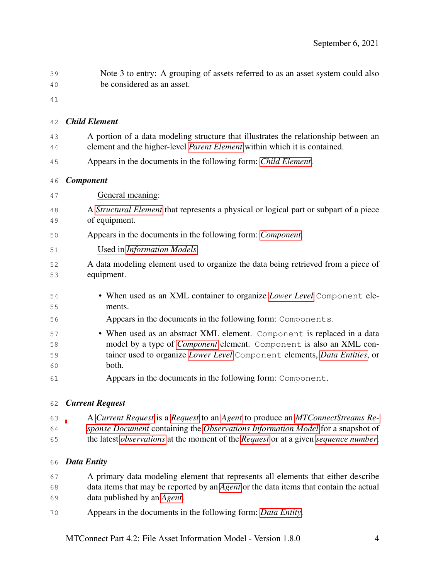<span id="page-7-1"></span><span id="page-7-0"></span>

| 39                   | Note 3 to entry: A grouping of assets referred to as an asset system could also                                                                                                                                                             |
|----------------------|---------------------------------------------------------------------------------------------------------------------------------------------------------------------------------------------------------------------------------------------|
| 40                   | be considered as an asset.                                                                                                                                                                                                                  |
| 41                   |                                                                                                                                                                                                                                             |
| 42                   | <b>Child Element</b>                                                                                                                                                                                                                        |
| 43<br>44             | A portion of a data modeling structure that illustrates the relationship between an<br>element and the higher-level <i>Parent Element</i> within which it is contained.                                                                     |
| 45                   | Appears in the documents in the following form: Child Element.                                                                                                                                                                              |
| 46                   | <b>Component</b>                                                                                                                                                                                                                            |
| 47                   | General meaning:                                                                                                                                                                                                                            |
| 48<br>49             | A <i>Structural Element</i> that represents a physical or logical part or subpart of a piece<br>of equipment.                                                                                                                               |
| 50                   | Appears in the documents in the following form: <i>Component</i> .                                                                                                                                                                          |
| 51                   | Used in Information Models:                                                                                                                                                                                                                 |
| 52<br>53             | A data modeling element used to organize the data being retrieved from a piece of<br>equipment.                                                                                                                                             |
| 54<br>55             | • When used as an XML container to organize <i>Lower Level</i> Component ele-<br>ments.                                                                                                                                                     |
| 56                   | Appears in the documents in the following form: Components.                                                                                                                                                                                 |
| 57<br>58<br>59<br>60 | • When used as an abstract XML element. Component is replaced in a data<br>model by a type of <i>Component</i> element. Component is also an XML con-<br>tainer used to organize Lower Level Component elements, Data Entities, or<br>both. |
| 61                   | Appears in the documents in the following form: Component.                                                                                                                                                                                  |
|                      | 62 Curront Roquest                                                                                                                                                                                                                          |

# <span id="page-7-3"></span>*Current Request*

- A *[Current Request](#page-7-3)* is a *[Request](#page-10-2)* to an *[Agent](#page-6-1)* to produce an *[MTConnectStreams Re-](#page-9-1)[sponse Document](#page-9-1)* containing the *[Observations Information Model](#page-9-2)* for a snapshot of
- the latest *[observations](#page-9-3)* at the moment of the *[Request](#page-10-2)* or at a given *[sequence number](#page-10-3)*.

# <span id="page-7-2"></span>*Data Entity*

- A primary data modeling element that represents all elements that either describe data items that may be reported by an *[Agent](#page-6-1)* or the data items that contain the actual data published by an *[Agent](#page-6-1)*.
- Appears in the documents in the following form: *[Data Entity](#page-7-2)*.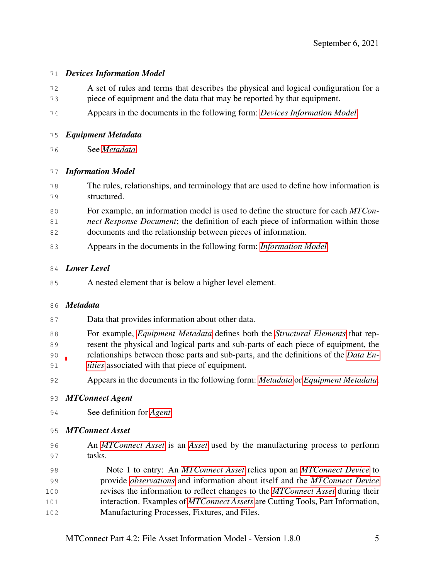# <span id="page-8-3"></span>*Devices Information Model*

- A set of rules and terms that describes the physical and logical configuration for a piece of equipment and the data that may be reported by that equipment.
- Appears in the documents in the following form: *[Devices Information Model](#page-8-3)*.

# <span id="page-8-5"></span>*Equipment Metadata*

See *[Metadata](#page-8-4)*

# <span id="page-8-1"></span>*Information Model*

- The rules, relationships, and terminology that are used to define how information is structured.
- For example, an information model is used to define the structure for each *MTCon-*
- *nect Response Document*; the definition of each piece of information within those documents and the relationship between pieces of information.
- Appears in the documents in the following form: *[Information Model](#page-8-1)*.

# <span id="page-8-2"></span>*Lower Level*

A nested element that is below a higher level element.

# <span id="page-8-4"></span>*Metadata*

- Data that provides information about other data.
- For example, *[Equipment Metadata](#page-8-5)* defines both the *[Structural Elements](#page-11-4)* that rep- resent the physical and logical parts and sub-parts of each piece of equipment, the relationships between those parts and sub-parts, and the definitions of the *[Data En-](#page-7-2)*
- *[tities](#page-7-2)* associated with that piece of equipment.
- Appears in the documents in the following form: *[Metadata](#page-8-4)* or *[Equipment Metadata](#page-8-5)*.

# <span id="page-8-6"></span>*MTConnect Agent*

See definition for *[Agent](#page-6-1)*.

# <span id="page-8-0"></span>*MTConnect Asset*

- An *[MTConnect Asset](#page-8-0)* is an *[Asset](#page-6-2)* used by the manufacturing process to perform tasks.
- Note 1 to entry: An *[MTConnect Asset](#page-8-0)* relies upon an *[MTConnect Device](#page-9-4)* to provide *[observations](#page-9-3)* and information about itself and the *[MTConnect Device](#page-9-4)* revises the information to reflect changes to the *[MTConnect Asset](#page-8-0)* during their interaction. Examples of *[MTConnect Assets](#page-8-0)* are Cutting Tools, Part Information, Manufacturing Processes, Fixtures, and Files.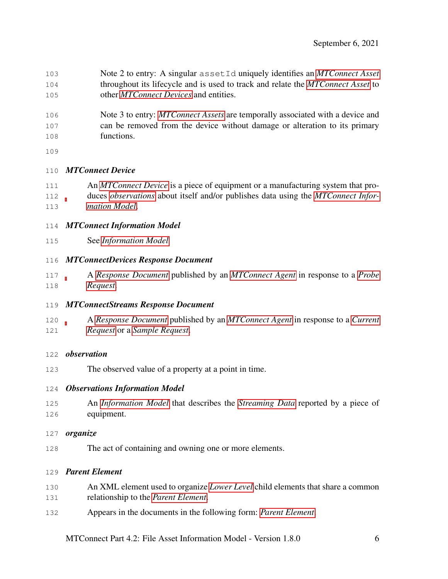- Note 2 to entry: A singular assetId uniquely identifies an *[MTConnect Asset](#page-8-0)* throughout its lifecycle and is used to track and relate the *[MTConnect Asset](#page-8-0)* to other *[MTConnect Devices](#page-9-4)* and entities.
- Note 3 to entry: *[MTConnect Assets](#page-8-0)* are temporally associated with a device and can be removed from the device without damage or alteration to its primary functions.
- 

# <span id="page-9-4"></span>*MTConnect Device*

- An *[MTConnect Device](#page-9-4)* is a piece of equipment or a manufacturing system that pro- duces *[observations](#page-9-3)* about itself and/or publishes data using the *[MTConnect Infor-](#page-9-5)[mation Model](#page-9-5)*.
- <span id="page-9-5"></span>*MTConnect Information Model*
- See *[Information Model](#page-8-1)*

# <span id="page-9-6"></span>*MTConnectDevices Response Document*

- A *[Response Document](#page-10-0)* published by an *[MTConnect Agent](#page-8-6)* in response to a *[Probe](#page-10-4) [Request](#page-10-4)*.
- <span id="page-9-1"></span>*MTConnectStreams Response Document*
- A *[Response Document](#page-10-0)* published by an *[MTConnect Agent](#page-8-6)* in response to a *[Current](#page-7-3) [Request](#page-7-3)* or a *[Sample Request](#page-10-5)*.
- <span id="page-9-3"></span>*observation*
- The observed value of a property at a point in time.

# <span id="page-9-2"></span>*Observations Information Model*

- An *[Information Model](#page-8-1)* that describes the *[Streaming Data](#page-10-6)* reported by a piece of equipment.
- <span id="page-9-7"></span>*organize*
- The act of containing and owning one or more elements.

# <span id="page-9-0"></span>*Parent Element*

- An XML element used to organize *[Lower Level](#page-8-2)* child elements that share a common
- relationship to the *[Parent Element](#page-9-0)*.
- Appears in the documents in the following form: *[Parent Element](#page-9-0)*.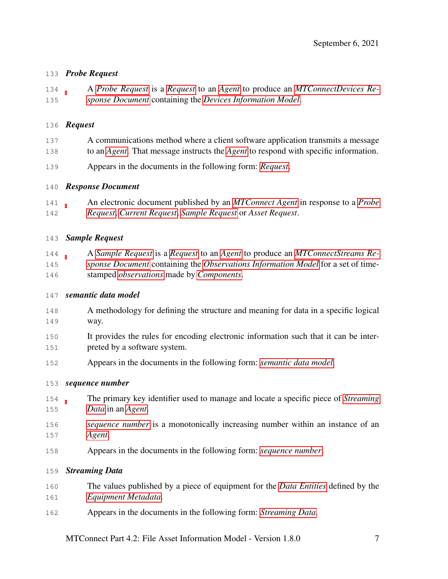# <span id="page-10-4"></span>*Probe Request*

 A *[Probe Request](#page-10-4)* is a *[Request](#page-10-2)* to an *[Agent](#page-6-1)* to produce an *[MTConnectDevices Re-](#page-9-6)[sponse Document](#page-9-6)* containing the *[Devices Information Model](#page-8-3)*.

## <span id="page-10-2"></span>*Request*

- A communications method where a client software application transmits a message
- to an *[Agent](#page-6-1)*. That message instructs the *[Agent](#page-6-1)* to respond with specific information.
- Appears in the documents in the following form: *[Request](#page-10-2)*.

# <span id="page-10-0"></span>*Response Document*

 An electronic document published by an *[MTConnect Agent](#page-8-6)* in response to a *[Probe](#page-10-4) [Request](#page-10-4)*, *[Current Request](#page-7-3)*, *[Sample Request](#page-10-5)* or *Asset Request*.

# <span id="page-10-5"></span>*Sample Request*

 A *[Sample Request](#page-10-5)* is a *[Request](#page-10-2)* to an *[Agent](#page-6-1)* to produce an *[MTConnectStreams Re-](#page-9-1) [sponse Document](#page-9-1)* containing the *[Observations Information Model](#page-9-2)* for a set of time-stamped *[observations](#page-9-3)* made by *[Components](#page-7-1)*.

# <span id="page-10-1"></span>*semantic data model*

- A methodology for defining the structure and meaning for data in a specific logical way.
- It provides the rules for encoding electronic information such that it can be inter-preted by a software system.
- Appears in the documents in the following form: *[semantic data model](#page-10-1)*.

# <span id="page-10-3"></span>*sequence number*

- The primary key identifier used to manage and locate a specific piece of *[Streaming](#page-10-6) [Data](#page-10-6)* in an *[Agent](#page-6-1)*.
- *[sequence number](#page-10-3)* is a monotonically increasing number within an instance of an *[Agent](#page-6-1)*.
- Appears in the documents in the following form: *[sequence number](#page-10-3)*.

# <span id="page-10-6"></span>*Streaming Data*

- The values published by a piece of equipment for the *[Data Entities](#page-7-2)* defined by the *[Equipment Metadata](#page-8-5)*.
- Appears in the documents in the following form: *[Streaming Data](#page-10-6)*.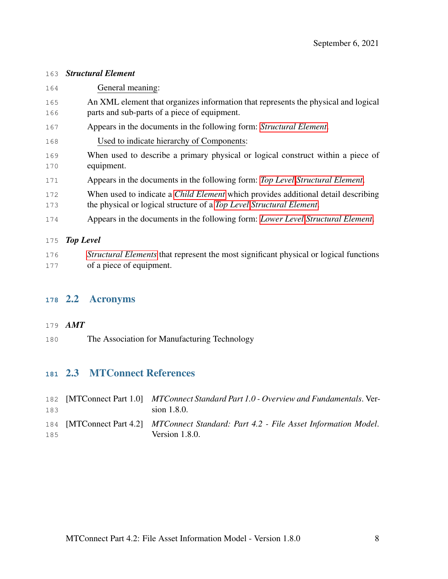#### <span id="page-11-4"></span>*Structural Element*

 General meaning: An XML element that organizes information that represents the physical and logical parts and sub-parts of a piece of equipment. Appears in the documents in the following form: *[Structural Element](#page-11-4)*. Used to indicate hierarchy of Components: When used to describe a primary physical or logical construct within a piece of equipment. Appears in the documents in the following form: *[Top Level](#page-11-5) [Structural Element](#page-11-4)*. When used to indicate a *[Child Element](#page-7-0)* which provides additional detail describing the physical or logical structure of a *[Top Level](#page-11-5) [Structural Element](#page-11-4)*. Appears in the documents in the following form: *[Lower Level](#page-8-2) [Structural Element](#page-11-4)*. *Top Level [Structural Elements](#page-11-4)* that represent the most significant physical or logical functions

# <span id="page-11-5"></span>of a piece of equipment.

# <span id="page-11-1"></span>2.2 Acronyms

# <span id="page-11-0"></span>*AMT*

The Association for Manufacturing Technology

# <span id="page-11-2"></span>2.3 MTConnect References

<span id="page-11-3"></span>

| 183 | 182 [MTConnect Part 1.0] MTConnect Standard Part 1.0 - Overview and Fundamentals. Ver-<br>sion 1.8.0.      |
|-----|------------------------------------------------------------------------------------------------------------|
| 185 | 184 [MTConnect Part 4.2] MTConnect Standard: Part 4.2 - File Asset Information Model.<br>Version $1.8.0$ . |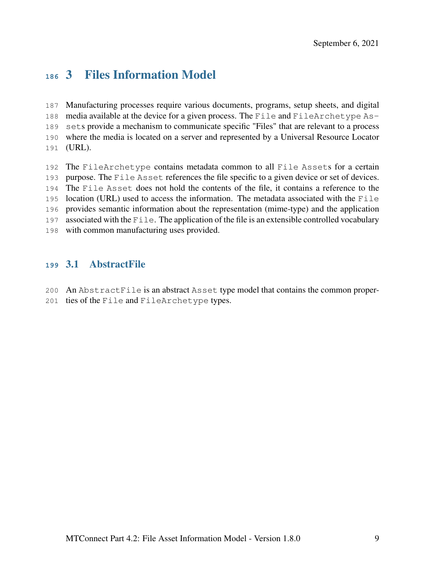# 3 Files Information Model

 Manufacturing processes require various documents, programs, setup sheets, and digital media available at the device for a given process. The File and FileArchetype As- sets provide a mechanism to communicate specific "Files" that are relevant to a process where the media is located on a server and represented by a Universal Resource Locator (URL).

 The FileArchetype contains metadata common to all File Assets for a certain purpose. The File Asset references the file specific to a given device or set of devices. The File Asset does not hold the contents of the file, it contains a reference to the location (URL) used to access the information. The metadata associated with the File provides semantic information about the representation (mime-type) and the application associated with the File. The application of the file is an extensible controlled vocabulary with common manufacturing uses provided.

# <span id="page-12-0"></span>3.1 AbstractFile

- An AbstractFile is an abstract Asset type model that contains the common proper-
- ties of the File and FileArchetype types.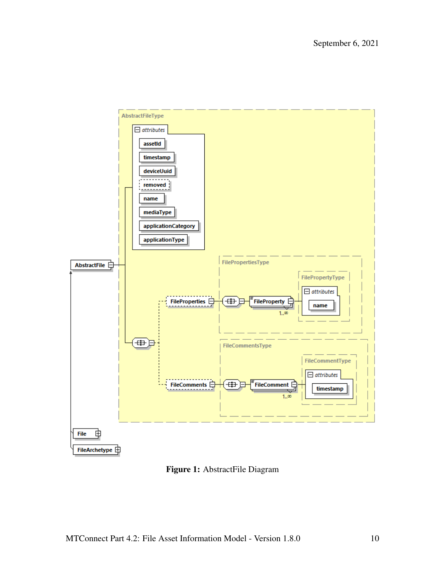<span id="page-13-0"></span>

Figure 1: AbstractFile Diagram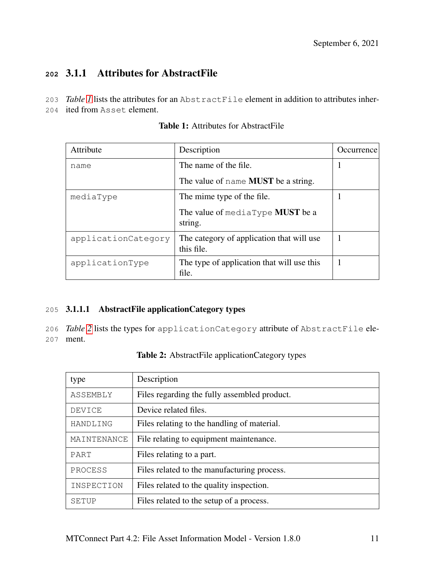# <span id="page-14-0"></span>**<sup>202</sup>** 3.1.1 Attributes for AbstractFile

- 203 *Table [1](#page-14-3)* lists the attributes for an AbstractFile element in addition to attributes inher-
- <span id="page-14-3"></span>204 ited from Asset element.

| Attribute           | Description                                             | <i>Occurrence</i> |
|---------------------|---------------------------------------------------------|-------------------|
| name                | The name of the file.                                   |                   |
|                     | The value of name <b>MUST</b> be a string.              |                   |
| mediaType           | The mime type of the file.                              |                   |
|                     | The value of mediaType <b>MUST</b> be a<br>string.      |                   |
| applicationCategory | The category of application that will use<br>this file. |                   |
| applicationType     | The type of application that will use this<br>file.     |                   |

# Table 1: Attributes for AbstractFile

# <span id="page-14-1"></span>205 3.1.1.1 AbstractFile applicationCategory types

206 *Table [2](#page-14-4)* lists the types for applicationCategory attribute of AbstractFile ele-207 ment.

<span id="page-14-4"></span><span id="page-14-2"></span>

| type        | Description                                  |
|-------------|----------------------------------------------|
| ASSEMBLY    | Files regarding the fully assembled product. |
| DEVICE      | Device related files.                        |
| HANDLING    | Files relating to the handling of material.  |
| MAINTENANCE | File relating to equipment maintenance.      |
| PART        | Files relating to a part.                    |
| PROCESS     | Files related to the manufacturing process.  |
| INSPECTION  | Files related to the quality inspection.     |
| SETUP       | Files related to the setup of a process.     |

Table 2: AbstractFile applicationCategory types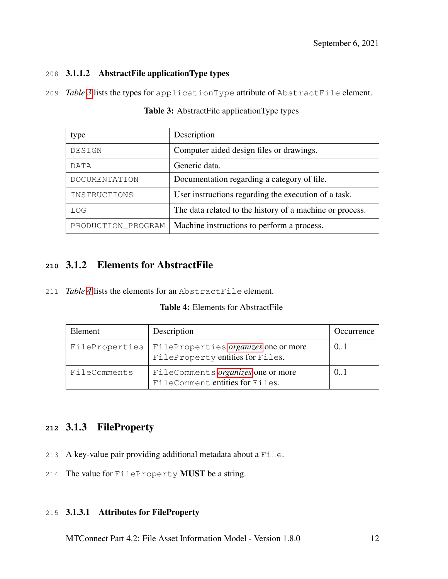## 208 3.1.1.2 AbstractFile applicationType types

<span id="page-15-3"></span>209 *Table [3](#page-15-3)* lists the types for applicationType attribute of AbstractFile element.

| type               | Description                                              |
|--------------------|----------------------------------------------------------|
| DESIGN             | Computer aided design files or drawings.                 |
| DATA               | Generic data.                                            |
| DOCUMENTATION      | Documentation regarding a category of file.              |
| INSTRUCTIONS       | User instructions regarding the execution of a task.     |
| LOG                | The data related to the history of a machine or process. |
| PRODUCTION_PROGRAM | Machine instructions to perform a process.               |

Table 3: AbstractFile applicationType types

# <span id="page-15-0"></span>**<sup>210</sup>** 3.1.2 Elements for AbstractFile

<span id="page-15-4"></span>211 *Table [4](#page-15-4)* lists the elements for an AbstractFile element.

#### Table 4: Elements for AbstractFile

| Element        | Description                                                              | Occurrence |
|----------------|--------------------------------------------------------------------------|------------|
| FileProperties | FileProperties organizes one or more<br>FileProperty entities for Files. | (0.1)      |
| FileComments   | FileComments organizes one or more<br>FileComment entities for Files.    | (0.1)      |

# <span id="page-15-1"></span>**<sup>212</sup>** 3.1.3 FileProperty

- 213 A key-value pair providing additional metadata about a File.
- <span id="page-15-2"></span>214 The value for FileProperty MUST be a string.

## 215 3.1.3.1 Attributes for FileProperty

MTConnect Part 4.2: File Asset Information Model - Version 1.8.0 12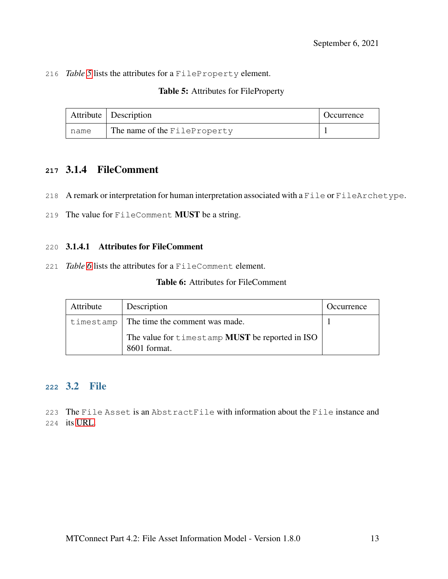<span id="page-16-3"></span>216 *Table [5](#page-16-3)* lists the attributes for a FileProperty element.

| Table 5: Attributes for FileProperty |  |
|--------------------------------------|--|
|--------------------------------------|--|

|      | Attribute $\vert$ Description | (Cocurrence |
|------|-------------------------------|-------------|
| name | The name of the FileProperty  |             |

# <span id="page-16-0"></span>**<sup>217</sup>** 3.1.4 FileComment

- 218 A remark or interpretation for human interpretation associated with a File or FileArchetype.
- <span id="page-16-1"></span>219 The value for FileComment MUST be a string.

#### 220 3.1.4.1 Attributes for FileComment

<span id="page-16-4"></span>221 *Table [6](#page-16-4)* lists the attributes for a FileComment element.

# Table 6: Attributes for FileComment

| Attribute | Description                                                            | Occurrence |
|-----------|------------------------------------------------------------------------|------------|
|           | $t$ imestamp $\vert$ The time the comment was made.                    |            |
|           | The value for timestamp <b>MUST</b> be reported in ISO<br>8601 format. |            |

# <span id="page-16-2"></span>**<sup>222</sup>** 3.2 File

223 The File Asset is an AbstractFile with information about the File instance and 224 its [URL.](#page-6-3)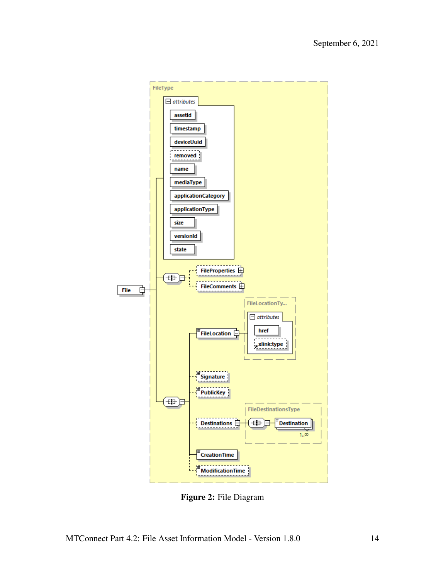<span id="page-17-0"></span>

Figure 2: File Diagram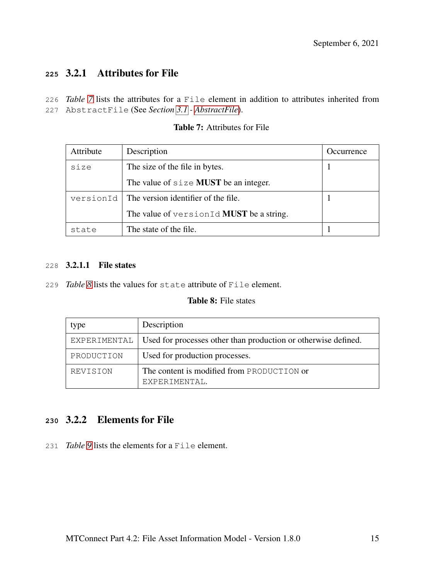# <span id="page-18-0"></span>**<sup>225</sup>** 3.2.1 Attributes for File

<span id="page-18-3"></span>226 *Table [7](#page-18-3)* lists the attributes for a File element in addition to attributes inherited from 227 AbstractFile (See *Section [3.1](#page-12-0) - [AbstractFile](#page-12-0)*).

| Attribute | Description                              | Occurrence |
|-----------|------------------------------------------|------------|
| size      | The size of the file in bytes.           |            |
|           | The value of $size$ MUST be an integer.  |            |
| versionId | The version identifier of the file.      |            |
|           | The value of versionId MUST be a string. |            |
| state     | The state of the file.                   |            |

## Table 7: Attributes for File

#### <span id="page-18-1"></span>228 3.2.1.1 File states

<span id="page-18-4"></span>229 *Table [8](#page-18-4)* lists the values for state attribute of File element.

### Table 8: File states

| type       | Description                                                                 |
|------------|-----------------------------------------------------------------------------|
|            | EXPERIMENTAL Used for processes other than production or otherwise defined. |
| PRODUCTION | Used for production processes.                                              |
| REVISION   | The content is modified from PRODUCTION or<br>EXPERIMENTAL.                 |

# <span id="page-18-2"></span>**<sup>230</sup>** 3.2.2 Elements for File

<span id="page-18-5"></span>231 *Table [9](#page-18-5)* lists the elements for a File element.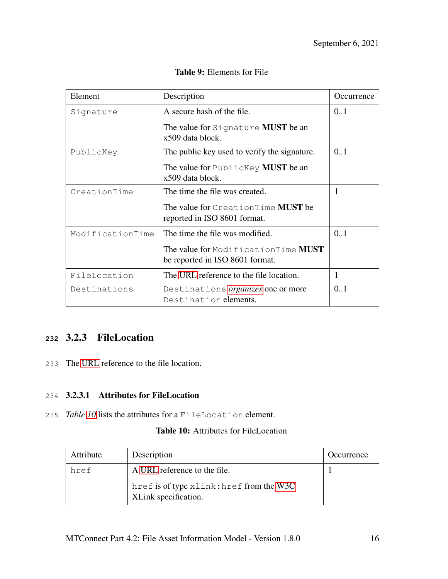| Element          | Description                                                             | <i>Occurrence</i> |
|------------------|-------------------------------------------------------------------------|-------------------|
| Signature        | A secure hash of the file.                                              | 0.1               |
|                  | The value for Signature <b>MUST</b> be an<br>x509 data block.           |                   |
| PublicKey        | The public key used to verify the signature.                            | 0.1               |
|                  | The value for PublicKey <b>MUST</b> be an<br>x509 data block.           |                   |
| CreationTime     | The time the file was created.                                          | 1                 |
|                  | The value for CreationTime MUST be<br>reported in ISO 8601 format.      |                   |
| ModificationTime | The time the file was modified.                                         | 0.1               |
|                  | The value for Modification Time MUST<br>be reported in ISO 8601 format. |                   |
| FileLocation     | The URL reference to the file location.                                 | 1                 |
| Destinations     | Destinations <i>organizes</i> one or more<br>Destination elements.      | 0.1               |

Table 9: Elements for File

# <span id="page-19-0"></span>**<sup>232</sup>** 3.2.3 FileLocation

<span id="page-19-1"></span>233 The [URL](#page-6-3) reference to the file location.

# 234 3.2.3.1 Attributes for FileLocation

<span id="page-19-2"></span>235 *Table [10](#page-19-2)* lists the attributes for a FileLocation element.

# Table 10: Attributes for FileLocation

| Attribute | Description                                                      | Occurrence |
|-----------|------------------------------------------------------------------|------------|
| href      | A URL reference to the file.                                     |            |
|           | href is of type xlink: href from the W3C<br>XLink specification. |            |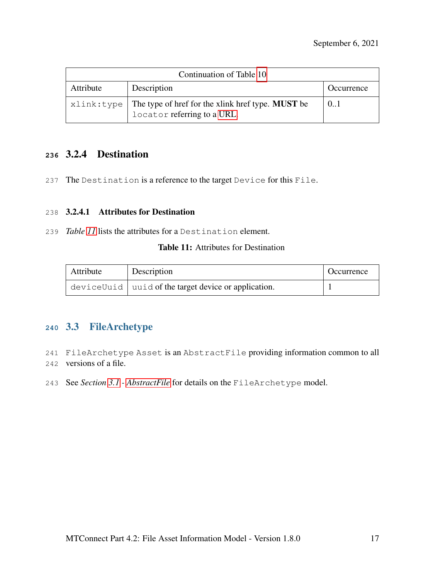| Continuation of Table 10 |                                                                                                |            |
|--------------------------|------------------------------------------------------------------------------------------------|------------|
| Attribute                | Description                                                                                    | Occurrence |
|                          | $xlink: type$ The type of href for the xlink href type. MUST be<br>locator referring to a URL. | 0.1        |

# <span id="page-20-0"></span>**<sup>236</sup>** 3.2.4 Destination

<span id="page-20-1"></span>237 The Destination is a reference to the target Device for this File.

#### 238 3.2.4.1 Attributes for Destination

<span id="page-20-3"></span>239 *Table [11](#page-20-3)* lists the attributes for a Destination element.

#### Table 11: Attributes for Destination

| Attribute | Description                                                 | Occurrence |
|-----------|-------------------------------------------------------------|------------|
|           | $deviceUuid \mid uuid$ of the target device or application. |            |

# <span id="page-20-2"></span>**<sup>240</sup>** 3.3 FileArchetype

241 FileArchetype Asset is an AbstractFile providing information common to all 242 versions of a file.

243 See *Section [3.1](#page-12-0) - [AbstractFile](#page-12-0)* for details on the FileArchetype model.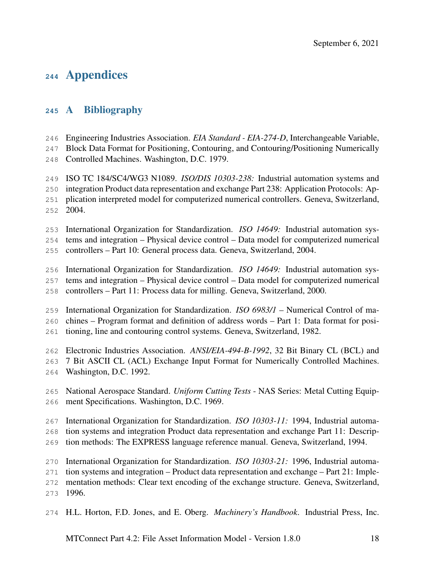# Appendices

# <span id="page-21-0"></span>A Bibliography

Engineering Industries Association. *EIA Standard - EIA-274-D*, Interchangeable Variable,

Block Data Format for Positioning, Contouring, and Contouring/Positioning Numerically

Controlled Machines. Washington, D.C. 1979.

ISO TC 184/SC4/WG3 N1089. *ISO/DIS 10303-238:* Industrial automation systems and

integration Product data representation and exchange Part 238: Application Protocols: Ap-

- plication interpreted model for computerized numerical controllers. Geneva, Switzerland, 2004.
- International Organization for Standardization. *ISO 14649:* Industrial automation sys-tems and integration – Physical device control – Data model for computerized numerical
- controllers Part 10: General process data. Geneva, Switzerland, 2004.

International Organization for Standardization. *ISO 14649:* Industrial automation sys-

- tems and integration Physical device control Data model for computerized numerical
- controllers Part 11: Process data for milling. Geneva, Switzerland, 2000.

International Organization for Standardization. *ISO 6983/1* – Numerical Control of ma-

chines – Program format and definition of address words – Part 1: Data format for posi-

tioning, line and contouring control systems. Geneva, Switzerland, 1982.

Electronic Industries Association. *ANSI/EIA-494-B-1992*, 32 Bit Binary CL (BCL) and

- 7 Bit ASCII CL (ACL) Exchange Input Format for Numerically Controlled Machines.
- Washington, D.C. 1992.
- National Aerospace Standard. *Uniform Cutting Tests* NAS Series: Metal Cutting Equip-ment Specifications. Washington, D.C. 1969.

International Organization for Standardization. *ISO 10303-11:* 1994, Industrial automa-

tion systems and integration Product data representation and exchange Part 11: Descrip-

tion methods: The EXPRESS language reference manual. Geneva, Switzerland, 1994.

International Organization for Standardization. *ISO 10303-21:* 1996, Industrial automa-

tion systems and integration – Product data representation and exchange – Part 21: Imple-

mentation methods: Clear text encoding of the exchange structure. Geneva, Switzerland,

1996.

H.L. Horton, F.D. Jones, and E. Oberg. *Machinery's Handbook*. Industrial Press, Inc.

MTConnect Part 4.2: File Asset Information Model - Version 1.8.0 18